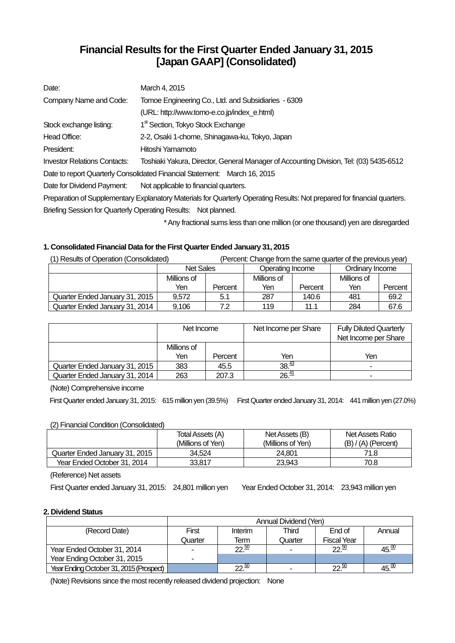# **Financial Results for the First Quarter Ended January 31, 2015 [Japan GAAP] (Consolidated)**

| Date:                                                                                                                    | March 4, 2015                                                                          |  |  |
|--------------------------------------------------------------------------------------------------------------------------|----------------------------------------------------------------------------------------|--|--|
| Company Name and Code:                                                                                                   | Tomoe Engineering Co., Ltd. and Subsidiaries - 6309                                    |  |  |
|                                                                                                                          | (URL: http://www.tomo-e.co.jp/index_e.html)                                            |  |  |
| Stock exchange listing:                                                                                                  | 1 <sup>st</sup> Section, Tokyo Stock Exchange                                          |  |  |
| Head Office:                                                                                                             | 2-2, Osaki 1-chome, Shinagawa-ku, Tokyo, Japan                                         |  |  |
| President:                                                                                                               | Hitoshi Yamamoto                                                                       |  |  |
| <b>Investor Relations Contacts:</b>                                                                                      | Toshiaki Yakura, Director, General Manager of Accounting Division, Tel: (03) 5435-6512 |  |  |
|                                                                                                                          | Date to report Quarterly Consolidated Financial Statement: March 16, 2015              |  |  |
| Date for Dividend Payment:                                                                                               | Not applicable to financial quarters.                                                  |  |  |
| Preparation of Supplementary Explanatory Materials for Quarterly Operating Results: Not prepared for financial quarters. |                                                                                        |  |  |
|                                                                                                                          | Briefing Session for Quarterly Operating Results: Not planned.                         |  |  |

\* Any fractional sums less than one million (or one thousand) yen are disregarded

### **1. Consolidated Financial Data for the First Quarter Ended January 31, 2015**

| (1) Results of Operation (Consolidated) | (Percent: Change from the same quarter of the previous year) |         |                  |         |                 |         |
|-----------------------------------------|--------------------------------------------------------------|---------|------------------|---------|-----------------|---------|
|                                         | <b>Net Sales</b>                                             |         | Operating Income |         | Ordinary Income |         |
|                                         | Millions of                                                  |         | Millions of      |         | Millions of     |         |
|                                         | Yen                                                          | Percent | Yen              | Percent | Yen             | Percent |
| Quarter Ended January 31, 2015          | 9.572                                                        | 5.1     | 287              | 140.6   | 481             | 69.2    |
| Quarter Ended January 31, 2014          | 9,106                                                        | 7.2     | 119              | 11.1    | 284             | 67.6    |

|                                | Net Income  |         | Net Income per Share | <b>Fully Diluted Quarterly</b><br>Net Income per Share |
|--------------------------------|-------------|---------|----------------------|--------------------------------------------------------|
|                                | Millions of |         |                      |                                                        |
|                                | Yen.        | Percent | Yen                  | Yen                                                    |
| Quarter Ended January 31, 2015 | 383         | 45.5    | 38.43                | ۰                                                      |
| Quarter Ended January 31, 2014 | 263         | 207.3   | 26.41                |                                                        |

(Note) Comprehensive income

First Quarter ended January 31, 2015: 615 million yen (39.5%) First Quarter ended January 31, 2014: 441 million yen (27.0%)

### (2) Financial Condition (Consolidated)

|                                | Total Assets (A)<br>(Millions of Yen) | Net Assets (B)<br>(Millions of Yen) | Net Assets Ratio<br>$(B) / (A)$ (Percent) |
|--------------------------------|---------------------------------------|-------------------------------------|-------------------------------------------|
| Quarter Ended January 31, 2015 | 34.524                                | 24.801                              | 71.8                                      |
| Year Ended October 31, 2014    | 33.817                                | 23.943                              | 70.8                                      |

(Reference) Net assets

First Quarter ended January 31, 2015: 24,801 million yen Year Ended October 31, 2014: 23,943 million yen

### **2. Dividend Status**

|                                         | Annual Dividend (Yen) |                  |         |                    |                  |  |
|-----------------------------------------|-----------------------|------------------|---------|--------------------|------------------|--|
| (Record Date)                           | First                 | Interim          | Third   | End of             | Annual           |  |
|                                         | Quarter               | Term             | Quarter | <b>Fiscal Year</b> |                  |  |
| Year Ended October 31, 2014             |                       | $22\frac{50}{2}$ |         | $22\frac{50}{2}$   | 45.00            |  |
| Year Ending October 31, 2015            | -                     |                  |         |                    |                  |  |
| Year Ending October 31, 2015 (Prospect) |                       | າາ ≌             |         | $22 \frac{30}{2}$  | 45. <sup>w</sup> |  |

(Note) Revisions since the most recently released dividend projection: None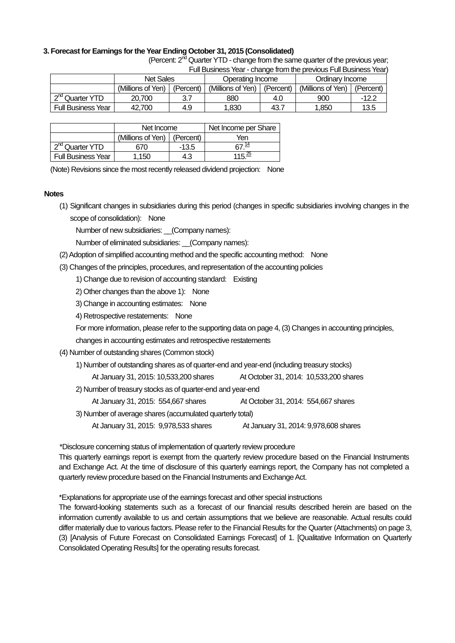### **3. Forecast for Earnings for the Year Ending October 31, 2015 (Consolidated)**

|                                                                   | (Percent: 2 <sup>nd</sup> Quarter YTD - change from the same quarter of the previous year; |  |                                                                                               |                 |  |  |  |
|-------------------------------------------------------------------|--------------------------------------------------------------------------------------------|--|-----------------------------------------------------------------------------------------------|-----------------|--|--|--|
| Full Business Year - change from the previous Full Business Year) |                                                                                            |  |                                                                                               |                 |  |  |  |
|                                                                   | Net Sales<br>Operating Income                                                              |  |                                                                                               | Ordinary Income |  |  |  |
|                                                                   |                                                                                            |  | (Millions of Yan)   (Parcent)   (Millions of Yan)   (Parcent)   (Millions of Yan)   (Parcent) |                 |  |  |  |

|                             | <b>Net Sales</b>  |           | Operating Income  |           | Ordinarv Income   |           |
|-----------------------------|-------------------|-----------|-------------------|-----------|-------------------|-----------|
|                             | (Millions of Yen) | (Percent) | (Millions of Yen) | (Percent) | (Millions of Yen) | (Percent) |
| 2 <sup>nd</sup> Quarter YTD | 20,700            | 3.7       | 880               | 4.0       | 900               | -12.2     |
| <b>Full Business Year</b>   | 42.700            | 4.9       | 1.830             | 43.,      | .850              | 13.5      |

|                             | Net Income                    |         | Net Income per Share |
|-----------------------------|-------------------------------|---------|----------------------|
|                             | (Millions of Yen)   (Percent) |         | Yen                  |
| 2 <sup>nd</sup> Quarter YTD | 670                           | $-13.5$ | <u> ค7 14</u>        |
| <b>Full Business Year</b>   | 1.150                         | 4.3     | 115 $\frac{25}{ }$   |

(Note) Revisions since the most recently released dividend projection: None

### **Notes**

(1) Significant changes in subsidiaries during this period (changes in specific subsidiaries involving changes in the scope of consolidation): None

Number of new subsidiaries: (Company names):

Number of eliminated subsidiaries: (Company names):

(2) Adoption of simplified accounting method and the specific accounting method: None

(3) Changes of the principles, procedures, and representation of the accounting policies

1) Change due to revision of accounting standard: Existing

- 2) Other changes than the above 1): None
- 3) Change in accounting estimates: None
- 4) Retrospective restatements: None

For more information, please refer to the supporting data on page 4, (3) Changes in accounting principles,

changes in accounting estimates and retrospective restatements

(4) Number of outstanding shares (Common stock)

1) Number of outstanding shares as of quarter-end and year-end (including treasury stocks)

At January 31, 2015: 10,533,200 shares At October 31, 2014: 10,533,200 shares

2) Number of treasury stocks as of quarter-end and year-end

At January 31, 2015: 554,667 shares At October 31, 2014: 554,667 shares

3) Number of average shares (accumulated quarterly total)

At January 31, 2015: 9,978,533 shares At January 31, 2014: 9,978,608 shares

\*Disclosure concerning status of implementation of quarterly review procedure

This quarterly earnings report is exempt from the quarterly review procedure based on the Financial Instruments and Exchange Act. At the time of disclosure of this quarterly earnings report, the Company has not completed a quarterly review procedure based on the Financial Instruments and Exchange Act.

\*Explanations for appropriate use of the earnings forecast and other special instructions

The forward-looking statements such as a forecast of our financial results described herein are based on the information currently available to us and certain assumptions that we believe are reasonable. Actual results could differ materially due to various factors. Please refer to the Financial Results for the Quarter (Attachments) on page 3, (3) [Analysis of Future Forecast on Consolidated Earnings Forecast] of 1. [Qualitative Information on Quarterly Consolidated Operating Results] for the operating results forecast.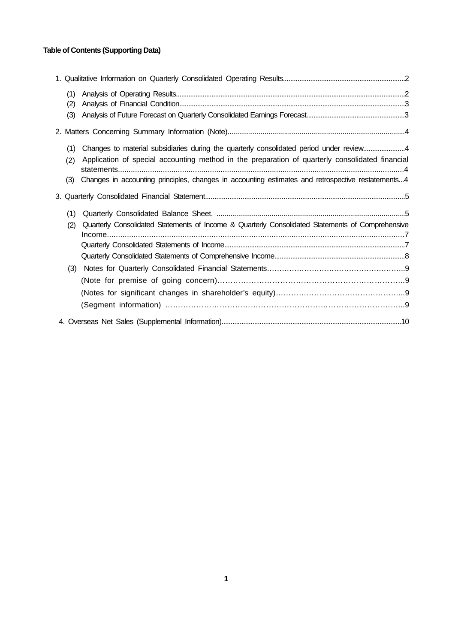## **Table of Contents (Supporting Data)**

| (1) |                                                                                                   |  |
|-----|---------------------------------------------------------------------------------------------------|--|
| (2) |                                                                                                   |  |
| (3) |                                                                                                   |  |
|     |                                                                                                   |  |
| (1) | Changes to material subsidiaries during the quarterly consolidated period under review4           |  |
| (2) | Application of special accounting method in the preparation of quarterly consolidated financial   |  |
| (3) | Changes in accounting principles, changes in accounting estimates and retrospective restatements4 |  |
|     |                                                                                                   |  |
| (1) |                                                                                                   |  |
| (2) | Quarterly Consolidated Statements of Income & Quarterly Consolidated Statements of Comprehensive  |  |
|     |                                                                                                   |  |
|     |                                                                                                   |  |
|     |                                                                                                   |  |
| (3) |                                                                                                   |  |
|     |                                                                                                   |  |
|     |                                                                                                   |  |
|     |                                                                                                   |  |
|     |                                                                                                   |  |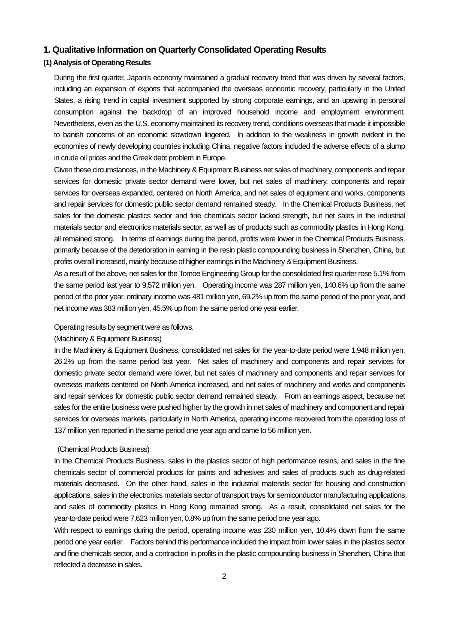### **1. Qualitative Information on Quarterly Consolidated Operating Results**

### **(1) Analysis of Operating Results**

During the first quarter, Japan's economy maintained a gradual recovery trend that was driven by several factors, including an expansion of exports that accompanied the overseas economic recovery, particularly in the United States, a rising trend in capital investment supported by strong corporate earnings, and an upswing in personal consumption against the backdrop of an improved household income and employment environment. Nevertheless, even as the U.S. economy maintained its recovery trend, conditions overseas that made it impossible to banish concerns of an economic slowdown lingered. In addition to the weakness in growth evident in the economies of newly developing countries including China, negative factors included the adverse effects of a slump in crude oil prices and the Greek debt problem in Europe.

Given these circumstances, in the Machinery & Equipment Business net sales of machinery, components and repair services for domestic private sector demand were lower, but net sales of machinery, components and repair services for overseas expanded, centered on North America, and net sales of equipment and works, components and repair services for domestic public sector demand remained steady. In the Chemical Products Business, net sales for the domestic plastics sector and fine chemicals sector lacked strength, but net sales in the industrial materials sector and electronics materials sector, as well as of products such as commodity plastics in Hong Kong, all remained strong. In terms of earnings during the period, profits were lower in the Chemical Products Business, primarily because of the deterioration in earning in the resin plastic compounding business in Shenzhen, China, but profits overall increased, mainly because of higher earnings in the Machinery & Equipment Business.

As a result of the above, net sales for the Tomoe Engineering Group for the consolidated first quarter rose 5.1% from the same period last year to 9,572 million yen. Operating income was 287 million yen, 140.6% up from the same period of the prior year, ordinary income was 481 million yen, 69.2% up from the same period of the prior year, and net income was 383 million yen, 45.5% up from the same period one year earlier.

### Operating results by segment were as follows.

### (Machinery & Equipment Business)

In the Machinery & Equipment Business, consolidated net sales for the year-to-date period were 1,948 million yen, 26.2% up from the same period last year. Net sales of machinery and components and repair services for domestic private sector demand were lower, but net sales of machinery and components and repair services for overseas markets centered on North America increased, and net sales of machinery and works and components and repair services for domestic public sector demand remained steady. From an earnings aspect, because net sales for the entire business were pushed higher by the growth in net sales of machinery and component and repair services for overseas markets, particularly in North America, operating income recovered from the operating loss of 137 million yen reported in the same period one year ago and came to 56 million yen.

#### (Chemical Products Business)

In the Chemical Products Business, sales in the plastics sector of high performance resins, and sales in the fine chemicals sector of commercial products for paints and adhesives and sales of products such as drug-related materials decreased. On the other hand, sales in the industrial materials sector for housing and construction applications, sales in the electronics materials sector of transport trays for semiconductor manufacturing applications, and sales of commodity plastics in Hong Kong remained strong. As a result, consolidated net sales for the year-to-date period were 7,623 million yen, 0.8% up from the same period one year ago.

With respect to earnings during the period, operating income was 230 million yen, 10.4% down from the same period one year earlier. Factors behind this performance included the impact from lower sales in the plastics sector and fine chemicals sector, and a contraction in profits in the plastic compounding business in Shenzhen, China that reflected a decrease in sales.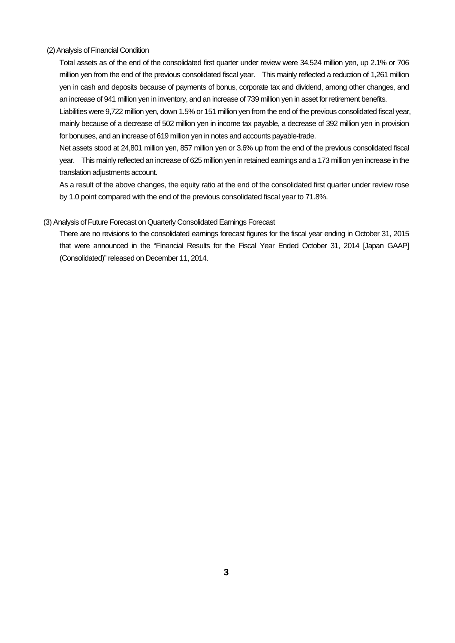### (2) Analysis of Financial Condition

Total assets as of the end of the consolidated first quarter under review were 34,524 million yen, up 2.1% or 706 million yen from the end of the previous consolidated fiscal year. This mainly reflected a reduction of 1,261 million yen in cash and deposits because of payments of bonus, corporate tax and dividend, among other changes, and an increase of 941 million yen in inventory, and an increase of 739 million yen in asset for retirement benefits.

Liabilities were 9,722 million yen, down 1.5% or 151 million yen from the end of the previous consolidated fiscal year, mainly because of a decrease of 502 million yen in income tax payable, a decrease of 392 million yen in provision for bonuses, and an increase of 619 million yen in notes and accounts payable-trade.

Net assets stood at 24,801 million yen, 857 million yen or 3.6% up from the end of the previous consolidated fiscal year. This mainly reflected an increase of 625 million yen in retained earnings and a 173 million yen increase in the translation adjustments account.

As a result of the above changes, the equity ratio at the end of the consolidated first quarter under review rose by 1.0 point compared with the end of the previous consolidated fiscal year to 71.8%.

### (3) Analysis of Future Forecast on Quarterly Consolidated Earnings Forecast

There are no revisions to the consolidated earnings forecast figures for the fiscal year ending in October 31, 2015 that were announced in the "Financial Results for the Fiscal Year Ended October 31, 2014 [Japan GAAP] (Consolidated)" released on December 11, 2014.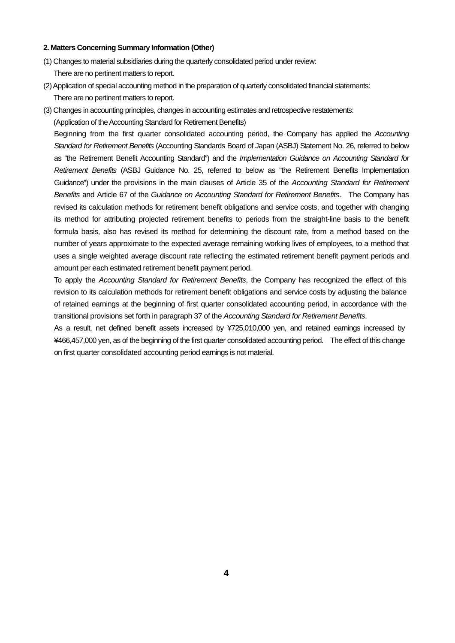### **2. Matters Concerning Summary Information (Other)**

- (1) Changes to material subsidiaries during the quarterly consolidated period under review: There are no pertinent matters to report.
- (2) Application of special accounting method in the preparation of quarterly consolidated financial statements: There are no pertinent matters to report.
- (3) Changes in accounting principles, changes in accounting estimates and retrospective restatements:

(Application of the Accounting Standard for Retirement Benefits)

Beginning from the first quarter consolidated accounting period, the Company has applied the *Accounting Standard for Retirement Benefits* (Accounting Standards Board of Japan (ASBJ) Statement No. 26, referred to below as "the Retirement Benefit Accounting Standard") and the *Implementation Guidance on Accounting Standard for Retirement Benefits* (ASBJ Guidance No. 25, referred to below as "the Retirement Benefits Implementation Guidance") under the provisions in the main clauses of Article 35 of the *Accounting Standard for Retirement Benefits* and Article 67 of the *Guidance on Accounting Standard for Retirement Benefits*. The Company has revised its calculation methods for retirement benefit obligations and service costs, and together with changing its method for attributing projected retirement benefits to periods from the straight-line basis to the benefit formula basis, also has revised its method for determining the discount rate, from a method based on the number of years approximate to the expected average remaining working lives of employees, to a method that uses a single weighted average discount rate reflecting the estimated retirement benefit payment periods and amount per each estimated retirement benefit payment period.

To apply the *Accounting Standard for Retirement Benefits*, the Company has recognized the effect of this revision to its calculation methods for retirement benefit obligations and service costs by adjusting the balance of retained earnings at the beginning of first quarter consolidated accounting period, in accordance with the transitional provisions set forth in paragraph 37 of the *Accounting Standard for Retirement Benefits*.

As a result, net defined benefit assets increased by ¥725,010,000 yen, and retained earnings increased by ¥466,457,000 yen, as of the beginning of the first quarter consolidated accounting period. The effect of this change on first quarter consolidated accounting period earnings is not material.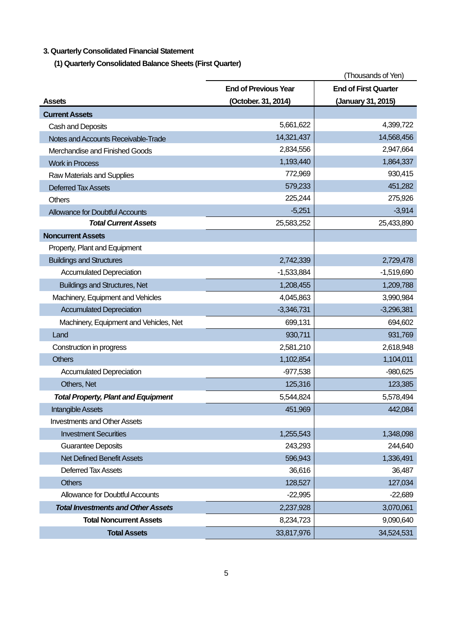# **3. Quarterly Consolidated Financial Statement**

**(1) Quarterly Consolidated Balance Sheets (First Quarter)** 

|                                            |                             | (Thousands of Yen)          |
|--------------------------------------------|-----------------------------|-----------------------------|
|                                            | <b>End of Previous Year</b> | <b>End of First Quarter</b> |
| <b>Assets</b>                              | (October. 31, 2014)         | (January 31, 2015)          |
| <b>Current Assets</b>                      |                             |                             |
| Cash and Deposits                          | 5,661,622                   | 4,399,722                   |
| Notes and Accounts Receivable-Trade        | 14,321,437                  | 14,568,456                  |
| Merchandise and Finished Goods             | 2,834,556                   | 2,947,664                   |
| <b>Work in Process</b>                     | 1,193,440                   | 1,864,337                   |
| Raw Materials and Supplies                 | 772,969                     | 930,415                     |
| <b>Deferred Tax Assets</b>                 | 579,233                     | 451,282                     |
| <b>Others</b>                              | 225,244                     | 275,926                     |
| <b>Allowance for Doubtful Accounts</b>     | $-5,251$                    | $-3,914$                    |
| <b>Total Current Assets</b>                | 25,583,252                  | 25,433,890                  |
| <b>Noncurrent Assets</b>                   |                             |                             |
| Property, Plant and Equipment              |                             |                             |
| <b>Buildings and Structures</b>            | 2,742,339                   | 2,729,478                   |
| <b>Accumulated Depreciation</b>            | $-1,533,884$                | $-1,519,690$                |
| <b>Buildings and Structures, Net</b>       | 1,208,455                   | 1,209,788                   |
| Machinery, Equipment and Vehicles          | 4,045,863                   | 3,990,984                   |
| <b>Accumulated Depreciation</b>            | $-3,346,731$                | $-3,296,381$                |
| Machinery, Equipment and Vehicles, Net     | 699,131                     | 694,602                     |
| Land                                       | 930,711                     | 931,769                     |
| Construction in progress                   | 2,581,210                   | 2,618,948                   |
| <b>Others</b>                              | 1,102,854                   | 1,104,011                   |
| <b>Accumulated Depreciation</b>            | $-977,538$                  | $-980,625$                  |
| Others, Net                                | 125,316                     | 123,385                     |
| <b>Total Property, Plant and Equipment</b> | 5,544,824                   | 5,578,494                   |
| <b>Intangible Assets</b>                   | 451,969                     | 442,084                     |
| <b>Investments and Other Assets</b>        |                             |                             |
| <b>Investment Securities</b>               | 1,255,543                   | 1,348,098                   |
| <b>Guarantee Deposits</b>                  | 243,293                     | 244,640                     |
| <b>Net Defined Benefit Assets</b>          | 596,943                     | 1,336,491                   |
| Deferred Tax Assets                        | 36,616                      | 36,487                      |
| <b>Others</b>                              | 128,527                     | 127,034                     |
| <b>Allowance for Doubtful Accounts</b>     | $-22,995$                   | $-22,689$                   |
| <b>Total Investments and Other Assets</b>  | 2,237,928                   | 3,070,061                   |
| <b>Total Noncurrent Assets</b>             | 8,234,723                   | 9,090,640                   |
| <b>Total Assets</b>                        | 33,817,976                  | 34,524,531                  |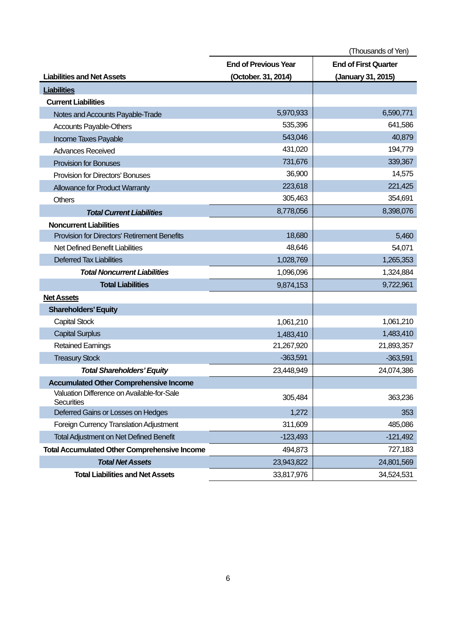|                                                                 |                             | (Thousands of Yen)          |
|-----------------------------------------------------------------|-----------------------------|-----------------------------|
|                                                                 | <b>End of Previous Year</b> | <b>End of First Quarter</b> |
| <b>Liabilities and Net Assets</b>                               | (October. 31, 2014)         | (January 31, 2015)          |
| <b>Liabilities</b>                                              |                             |                             |
| <b>Current Liabilities</b>                                      |                             |                             |
| Notes and Accounts Payable-Trade                                | 5,970,933                   | 6,590,771                   |
| <b>Accounts Payable-Others</b>                                  | 535,396                     | 641,586                     |
| Income Taxes Payable                                            | 543,046                     | 40,879                      |
| <b>Advances Received</b>                                        | 431,020                     | 194,779                     |
| <b>Provision for Bonuses</b>                                    | 731,676                     | 339,367                     |
| <b>Provision for Directors' Bonuses</b>                         | 36,900                      | 14,575                      |
| Allowance for Product Warranty                                  | 223,618                     | 221,425                     |
| <b>Others</b>                                                   | 305,463                     | 354,691                     |
| <b>Total Current Liabilities</b>                                | 8,778,056                   | 8,398,076                   |
| <b>Noncurrent Liabilities</b>                                   |                             |                             |
| Provision for Directors' Retirement Benefits                    | 18,680                      | 5,460                       |
| Net Defined Benefit Liabilities                                 | 48,646                      | 54,071                      |
| <b>Deferred Tax Liabilities</b>                                 | 1,028,769                   | 1,265,353                   |
| <b>Total Noncurrent Liabilities</b>                             | 1,096,096                   | 1,324,884                   |
| <b>Total Liabilities</b>                                        | 9,874,153                   | 9,722,961                   |
| <b>Net Assets</b>                                               |                             |                             |
| <b>Shareholders' Equity</b>                                     |                             |                             |
| <b>Capital Stock</b>                                            | 1,061,210                   | 1,061,210                   |
| <b>Capital Surplus</b>                                          | 1,483,410                   | 1,483,410                   |
| <b>Retained Earnings</b>                                        | 21,267,920                  | 21,893,357                  |
| <b>Treasury Stock</b>                                           | $-363,591$                  | $-363,591$                  |
| <b>Total Shareholders' Equity</b>                               | 23,448,949                  | 24,074,386                  |
| <b>Accumulated Other Comprehensive Income</b>                   |                             |                             |
| Valuation Difference on Available-for-Sale<br><b>Securities</b> | 305,484                     | 363,236                     |
| Deferred Gains or Losses on Hedges                              | 1,272                       | 353                         |
| Foreign Currency Translation Adjustment                         | 311,609                     | 485,086                     |
| <b>Total Adjustment on Net Defined Benefit</b>                  | $-123,493$                  | $-121,492$                  |
| <b>Total Accumulated Other Comprehensive Income</b>             | 494,873                     | 727,183                     |
| <b>Total Net Assets</b>                                         | 23,943,822                  | 24,801,569                  |
| <b>Total Liabilities and Net Assets</b>                         | 33,817,976                  | 34,524,531                  |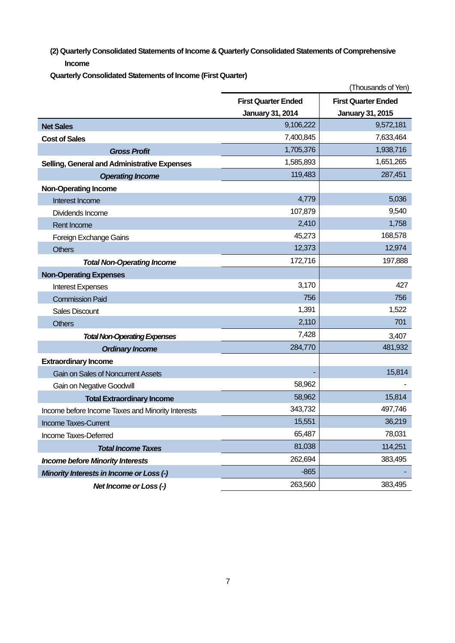**(2) Quarterly Consolidated Statements of Income & Quarterly Consolidated Statements of Comprehensive Income** 

**Quarterly Consolidated Statements of Income (First Quarter)** 

|                                                   |                            | (Thousands of Yen)         |
|---------------------------------------------------|----------------------------|----------------------------|
|                                                   | <b>First Quarter Ended</b> | <b>First Quarter Ended</b> |
|                                                   | <b>January 31, 2014</b>    | <b>January 31, 2015</b>    |
| <b>Net Sales</b>                                  | 9,106,222                  | 9,572,181                  |
| <b>Cost of Sales</b>                              | 7,400,845                  | 7,633,464                  |
| <b>Gross Profit</b>                               | 1,705,376                  | 1,938,716                  |
| Selling, General and Administrative Expenses      | 1,585,893                  | 1,651,265                  |
| <b>Operating Income</b>                           | 119,483                    | 287,451                    |
| <b>Non-Operating Income</b>                       |                            |                            |
| Interest Income                                   | 4,779                      | 5,036                      |
| Dividends Income                                  | 107,879                    | 9,540                      |
| Rent Income                                       | 2,410                      | 1,758                      |
| Foreign Exchange Gains                            | 45,273                     | 168,578                    |
| <b>Others</b>                                     | 12,373                     | 12,974                     |
| <b>Total Non-Operating Income</b>                 | 172,716                    | 197,888                    |
| <b>Non-Operating Expenses</b>                     |                            |                            |
| <b>Interest Expenses</b>                          | 3,170                      | 427                        |
| <b>Commission Paid</b>                            | 756                        | 756                        |
| <b>Sales Discount</b>                             | 1,391                      | 1,522                      |
| <b>Others</b>                                     | 2,110                      | 701                        |
| <b>Total Non-Operating Expenses</b>               | 7,428                      | 3,407                      |
| <b>Ordinary Income</b>                            | 284,770                    | 481,932                    |
| <b>Extraordinary Income</b>                       |                            |                            |
| Gain on Sales of Noncurrent Assets                |                            | 15,814                     |
| <b>Gain on Negative Goodwill</b>                  | 58,962                     |                            |
| <b>Total Extraordinary Income</b>                 | 58,962                     | 15,814                     |
| Income before Income Taxes and Minority Interests | 343,732                    | 497,746                    |
| Income Taxes-Current                              | 15,551                     | 36,219                     |
| Income Taxes-Deferred                             | 65,487                     | 78,031                     |
| <b>Total Income Taxes</b>                         | 81,038                     | 114,251                    |
| <b>Income before Minority Interests</b>           | 262,694                    | 383,495                    |
| Minority Interests in Income or Loss (-)          | $-865$                     |                            |
| Net Income or Loss (-)                            | 263,560                    | 383,495                    |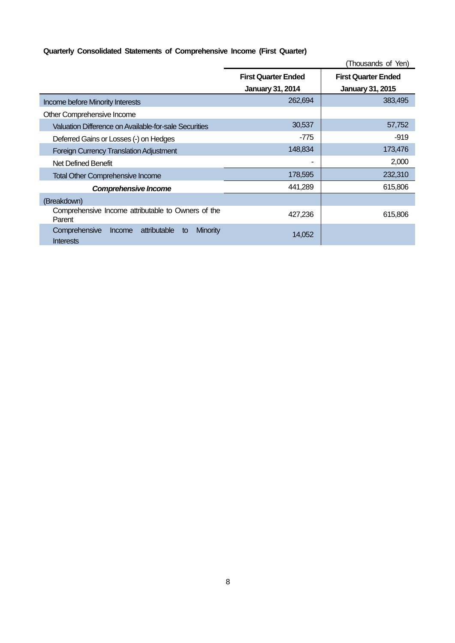# **Quarterly Consolidated Statements of Comprehensive Income (First Quarter)**

|                                                                                      | (Thousands of Yen)                                    |                                                       |  |
|--------------------------------------------------------------------------------------|-------------------------------------------------------|-------------------------------------------------------|--|
|                                                                                      | <b>First Quarter Ended</b><br><b>January 31, 2014</b> | <b>First Quarter Ended</b><br><b>January 31, 2015</b> |  |
| <b>Income before Minority Interests</b>                                              | 262,694                                               | 383,495                                               |  |
| Other Comprehensive Income                                                           |                                                       |                                                       |  |
| Valuation Difference on Available-for-sale Securities                                | 30,537                                                | 57,752                                                |  |
| Deferred Gains or Losses (-) on Hedges                                               | -775                                                  | $-919$                                                |  |
| <b>Foreign Currency Translation Adjustment</b>                                       | 148,834                                               | 173,476                                               |  |
| Net Defined Benefit                                                                  |                                                       | 2,000                                                 |  |
| <b>Total Other Comprehensive Income</b>                                              | 178,595                                               | 232,310                                               |  |
| <b>Comprehensive Income</b>                                                          | 441,289                                               | 615,806                                               |  |
| (Breakdown)                                                                          |                                                       |                                                       |  |
| Comprehensive Income attributable to Owners of the<br>Parent                         | 427,236                                               | 615,806                                               |  |
| attributable<br><b>Minority</b><br>Comprehensive<br>Income<br>to<br><b>Interests</b> | 14,052                                                |                                                       |  |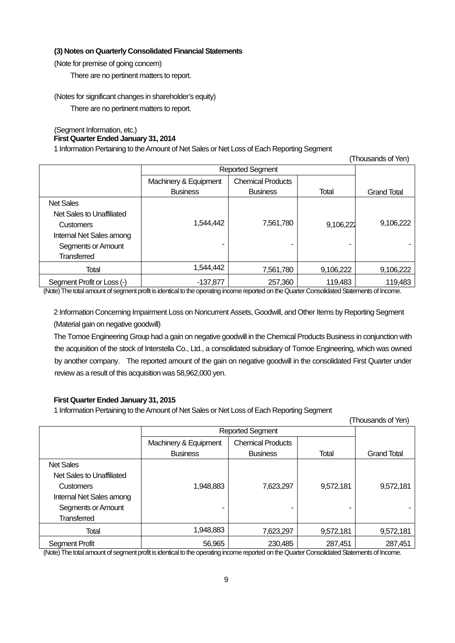### **(3) Notes on Quarterly Consolidated Financial Statements**

(Note for premise of going concern)

There are no pertinent matters to report.

(Notes for significant changes in shareholder's equity)

There are no pertinent matters to report.

#### (Segment Information, etc.) **First Quarter Ended January 31, 2014**

1 Information Pertaining to the Amount of Net Sales or Net Loss of Each Reporting Segment

|                            |                         |                          |              | THUUSAHUS ULTEHT   |
|----------------------------|-------------------------|--------------------------|--------------|--------------------|
|                            | <b>Reported Segment</b> |                          |              |                    |
|                            | Machinery & Equipment   | <b>Chemical Products</b> |              |                    |
|                            | <b>Business</b>         | <b>Business</b>          | <b>Total</b> | <b>Grand Total</b> |
| <b>Net Sales</b>           |                         |                          |              |                    |
| Net Sales to Unaffiliated  |                         |                          |              |                    |
| <b>Customers</b>           | 1,544,442               | 7,561,780                | 9,106,222    | 9,106,222          |
| Internal Net Sales among   |                         |                          |              |                    |
| Segments or Amount         |                         | -                        |              |                    |
| Transferred                |                         |                          |              |                    |
| <b>Total</b>               | 1,544,442               | 7,561,780                | 9,106,222    | 9,106,222          |
| Segment Profit or Loss (-) | $-137.877$              | 257,360                  | 119,483      | 119,483            |

(Thousands of Yen)

(Note) The total amount of segment profit is identical to the operating income reported on the Quarter Consolidated Statements of Income.

2 Information Concerning Impairment Loss on Noncurrent Assets, Goodwill, and Other Items by Reporting Segment (Material gain on negative goodwill)

The Tomoe Engineering Group had a gain on negative goodwill in the Chemical Products Business in conjunction with the acquisition of the stock of Interstella Co., Ltd., a consolidated subsidiary of Tomoe Engineering, which was owned by another company. The reported amount of the gain on negative goodwill in the consolidated First Quarter under review as a result of this acquisition was 58,962,000 yen.

### **First Quarter Ended January 31, 2015**

1 Information Pertaining to the Amount of Net Sales or Net Loss of Each Reporting Segment

|                                                                                                                                                                                                                                                                                                                                                                                                                                                            |                         |                              |           | (Thousands of Yen)                                                                                                                                                                                                                                                                                                     |
|------------------------------------------------------------------------------------------------------------------------------------------------------------------------------------------------------------------------------------------------------------------------------------------------------------------------------------------------------------------------------------------------------------------------------------------------------------|-------------------------|------------------------------|-----------|------------------------------------------------------------------------------------------------------------------------------------------------------------------------------------------------------------------------------------------------------------------------------------------------------------------------|
|                                                                                                                                                                                                                                                                                                                                                                                                                                                            | <b>Reported Segment</b> |                              |           |                                                                                                                                                                                                                                                                                                                        |
|                                                                                                                                                                                                                                                                                                                                                                                                                                                            | Machinery & Equipment   | <b>Chemical Products</b>     |           |                                                                                                                                                                                                                                                                                                                        |
|                                                                                                                                                                                                                                                                                                                                                                                                                                                            | <b>Business</b>         | <b>Business</b>              | Total     | <b>Grand Total</b>                                                                                                                                                                                                                                                                                                     |
| <b>Net Sales</b>                                                                                                                                                                                                                                                                                                                                                                                                                                           |                         |                              |           |                                                                                                                                                                                                                                                                                                                        |
| Net Sales to Unaffiliated                                                                                                                                                                                                                                                                                                                                                                                                                                  |                         |                              |           |                                                                                                                                                                                                                                                                                                                        |
| <b>Customers</b>                                                                                                                                                                                                                                                                                                                                                                                                                                           | 1,948,883               | 7,623,297                    | 9,572,181 | 9,572,181                                                                                                                                                                                                                                                                                                              |
| Internal Net Sales among                                                                                                                                                                                                                                                                                                                                                                                                                                   |                         |                              |           |                                                                                                                                                                                                                                                                                                                        |
| Segments or Amount                                                                                                                                                                                                                                                                                                                                                                                                                                         |                         | ۰                            |           |                                                                                                                                                                                                                                                                                                                        |
| <b>Transferred</b>                                                                                                                                                                                                                                                                                                                                                                                                                                         |                         |                              |           |                                                                                                                                                                                                                                                                                                                        |
| Total                                                                                                                                                                                                                                                                                                                                                                                                                                                      | 1,948,883               | 7,623,297                    | 9,572,181 | 9,572,181                                                                                                                                                                                                                                                                                                              |
| Segment Profit<br>$\mathcal{L} \cup \{ \mathcal{L} \cup \{ \mathcal{L} \} \cup \{ \mathcal{L} \} \cup \{ \mathcal{L} \} \cup \{ \mathcal{L} \} \cup \{ \mathcal{L} \} \cup \{ \mathcal{L} \} \cup \{ \mathcal{L} \} \cup \{ \mathcal{L} \} \cup \{ \mathcal{L} \} \cup \{ \mathcal{L} \} \cup \{ \mathcal{L} \} \cup \{ \mathcal{L} \} \cup \{ \mathcal{L} \} \cup \{ \mathcal{L} \} \cup \{ \mathcal{L} \} \cup \{ \mathcal{L} \} \cup \{ \mathcal{L} \}$ | 56,965                  | 230,485<br>$\cdots$ $\cdots$ | 287.451   | 287,451<br>$\mathbf{r}$ . $\mathbf{r}$ . $\mathbf{r}$ . $\mathbf{r}$ . $\mathbf{r}$ . $\mathbf{r}$ . $\mathbf{r}$ . $\mathbf{r}$ . $\mathbf{r}$ . $\mathbf{r}$ . $\mathbf{r}$ . $\mathbf{r}$ . $\mathbf{r}$ . $\mathbf{r}$ . $\mathbf{r}$ . $\mathbf{r}$ . $\mathbf{r}$ . $\mathbf{r}$ . $\mathbf{r}$ . $\mathbf{r}$ . |

(Note) The total amount of segment profit is identical to the operating income reported on the Quarter Consolidated Statements of Income.